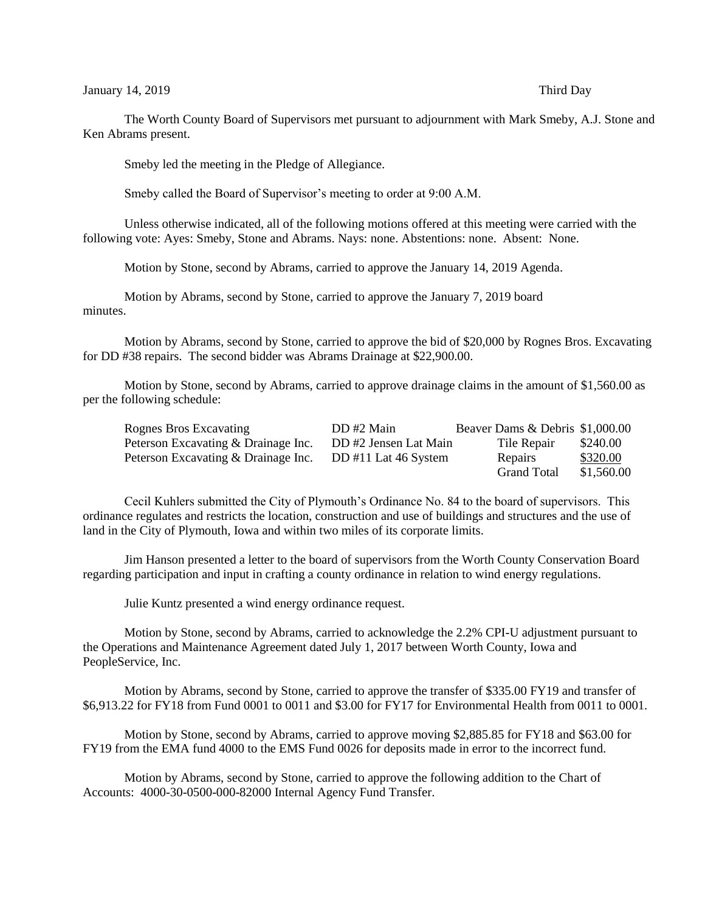## January 14, 2019 Third Day

The Worth County Board of Supervisors met pursuant to adjournment with Mark Smeby, A.J. Stone and Ken Abrams present.

Smeby led the meeting in the Pledge of Allegiance.

Smeby called the Board of Supervisor's meeting to order at 9:00 A.M.

Unless otherwise indicated, all of the following motions offered at this meeting were carried with the following vote: Ayes: Smeby, Stone and Abrams. Nays: none. Abstentions: none. Absent: None.

Motion by Stone, second by Abrams, carried to approve the January 14, 2019 Agenda.

Motion by Abrams, second by Stone, carried to approve the January 7, 2019 board minutes.

Motion by Abrams, second by Stone, carried to approve the bid of \$20,000 by Rognes Bros. Excavating for DD #38 repairs. The second bidder was Abrams Drainage at \$22,900.00.

Motion by Stone, second by Abrams, carried to approve drainage claims in the amount of \$1,560.00 as per the following schedule:

| Rognes Bros Excavating              | DD #2 Main            | Beaver Dams & Debris \$1,000.00 |            |
|-------------------------------------|-----------------------|---------------------------------|------------|
| Peterson Excavating & Drainage Inc. | DD #2 Jensen Lat Main | Tile Repair                     | \$240.00   |
| Peterson Excavating & Drainage Inc. | DD #11 Lat 46 System  | Repairs                         | \$320.00   |
|                                     |                       | <b>Grand Total</b>              | \$1,560.00 |

Cecil Kuhlers submitted the City of Plymouth's Ordinance No. 84 to the board of supervisors. This ordinance regulates and restricts the location, construction and use of buildings and structures and the use of land in the City of Plymouth, Iowa and within two miles of its corporate limits.

Jim Hanson presented a letter to the board of supervisors from the Worth County Conservation Board regarding participation and input in crafting a county ordinance in relation to wind energy regulations.

Julie Kuntz presented a wind energy ordinance request.

Motion by Stone, second by Abrams, carried to acknowledge the 2.2% CPI-U adjustment pursuant to the Operations and Maintenance Agreement dated July 1, 2017 between Worth County, Iowa and PeopleService, Inc.

Motion by Abrams, second by Stone, carried to approve the transfer of \$335.00 FY19 and transfer of \$6,913.22 for FY18 from Fund 0001 to 0011 and \$3.00 for FY17 for Environmental Health from 0011 to 0001.

Motion by Stone, second by Abrams, carried to approve moving \$2,885.85 for FY18 and \$63.00 for FY19 from the EMA fund 4000 to the EMS Fund 0026 for deposits made in error to the incorrect fund.

Motion by Abrams, second by Stone, carried to approve the following addition to the Chart of Accounts: 4000-30-0500-000-82000 Internal Agency Fund Transfer.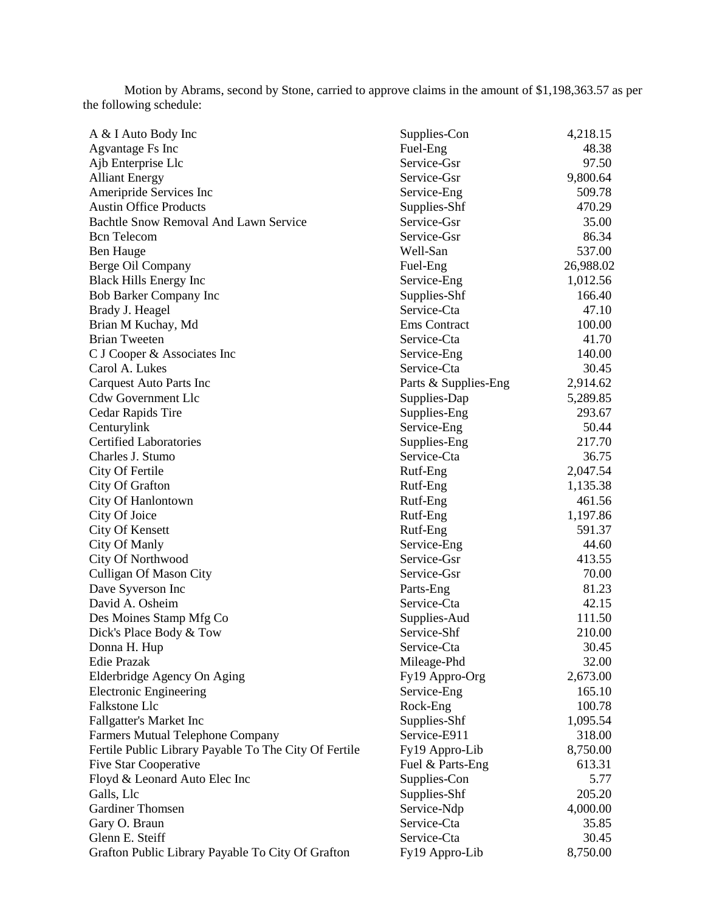Motion by Abrams, second by Stone, carried to approve claims in the amount of \$1,198,363.57 as per the following schedule:

| A & I Auto Body Inc                                   | Supplies-Con                | 4,218.15  |
|-------------------------------------------------------|-----------------------------|-----------|
| Agvantage Fs Inc                                      | Fuel-Eng                    | 48.38     |
| Ajb Enterprise Llc                                    | Service-Gsr                 | 97.50     |
| <b>Alliant Energy</b>                                 | Service-Gsr                 | 9,800.64  |
| Ameripride Services Inc                               | Service-Eng                 | 509.78    |
| <b>Austin Office Products</b>                         | Supplies-Shf                | 470.29    |
| Bachtle Snow Removal And Lawn Service                 | Service-Gsr                 | 35.00     |
| <b>Bcn</b> Telecom                                    | Service-Gsr                 | 86.34     |
| <b>Ben Hauge</b>                                      | Well-San                    | 537.00    |
| Berge Oil Company                                     | Fuel-Eng                    | 26,988.02 |
| <b>Black Hills Energy Inc</b>                         | Service-Eng                 | 1,012.56  |
| <b>Bob Barker Company Inc</b>                         | Supplies-Shf                | 166.40    |
| Brady J. Heagel                                       | Service-Cta                 | 47.10     |
| Brian M Kuchay, Md                                    | Ems Contract                | 100.00    |
| <b>Brian Tweeten</b>                                  | Service-Cta                 | 41.70     |
| C J Cooper & Associates Inc                           | Service-Eng                 | 140.00    |
| Carol A. Lukes                                        | Service-Cta                 | 30.45     |
| Carquest Auto Parts Inc                               | Parts & Supplies-Eng        | 2,914.62  |
| <b>Cdw Government Llc</b>                             | Supplies-Dap                | 5,289.85  |
| Cedar Rapids Tire                                     | Supplies-Eng                | 293.67    |
| Centurylink                                           | Service-Eng                 | 50.44     |
| <b>Certified Laboratories</b>                         | Supplies-Eng                | 217.70    |
| Charles J. Stumo                                      | Service-Cta                 | 36.75     |
| City Of Fertile                                       | Rutf-Eng                    | 2,047.54  |
| City Of Grafton                                       | Rutf-Eng                    | 1,135.38  |
| City Of Hanlontown                                    | Rutf-Eng                    | 461.56    |
| City Of Joice                                         | Rutf-Eng                    | 1,197.86  |
| <b>City Of Kensett</b>                                | Rutf-Eng                    | 591.37    |
| City Of Manly                                         | Service-Eng                 | 44.60     |
| City Of Northwood                                     | Service-Gsr                 | 413.55    |
| Culligan Of Mason City                                | Service-Gsr                 | 70.00     |
| Dave Syverson Inc                                     | Parts-Eng                   | 81.23     |
| David A. Osheim                                       | Service-Cta                 | 42.15     |
|                                                       |                             | 111.50    |
| Des Moines Stamp Mfg Co                               | Supplies-Aud<br>Service-Shf |           |
| Dick's Place Body & Tow                               |                             | 210.00    |
| Donna H. Hup                                          | Service-Cta                 | 30.45     |
| <b>Edie Prazak</b>                                    | Mileage-Phd                 | 32.00     |
| Elderbridge Agency On Aging                           | Fy19 Appro-Org              | 2,673.00  |
| <b>Electronic Engineering</b>                         | Service-Eng                 | 165.10    |
| Falkstone Llc                                         | Rock-Eng                    | 100.78    |
| Fallgatter's Market Inc                               | Supplies-Shf                | 1,095.54  |
| <b>Farmers Mutual Telephone Company</b>               | Service-E911                | 318.00    |
| Fertile Public Library Payable To The City Of Fertile | Fy19 Appro-Lib              | 8,750.00  |
| <b>Five Star Cooperative</b>                          | Fuel & Parts-Eng            | 613.31    |
| Floyd & Leonard Auto Elec Inc                         | Supplies-Con                | 5.77      |
| Galls, Llc                                            | Supplies-Shf                | 205.20    |
| <b>Gardiner Thomsen</b>                               | Service-Ndp                 | 4,000.00  |
| Gary O. Braun                                         | Service-Cta                 | 35.85     |
| Glenn E. Steiff                                       | Service-Cta                 | 30.45     |
| Grafton Public Library Payable To City Of Grafton     | Fy19 Appro-Lib              | 8,750.00  |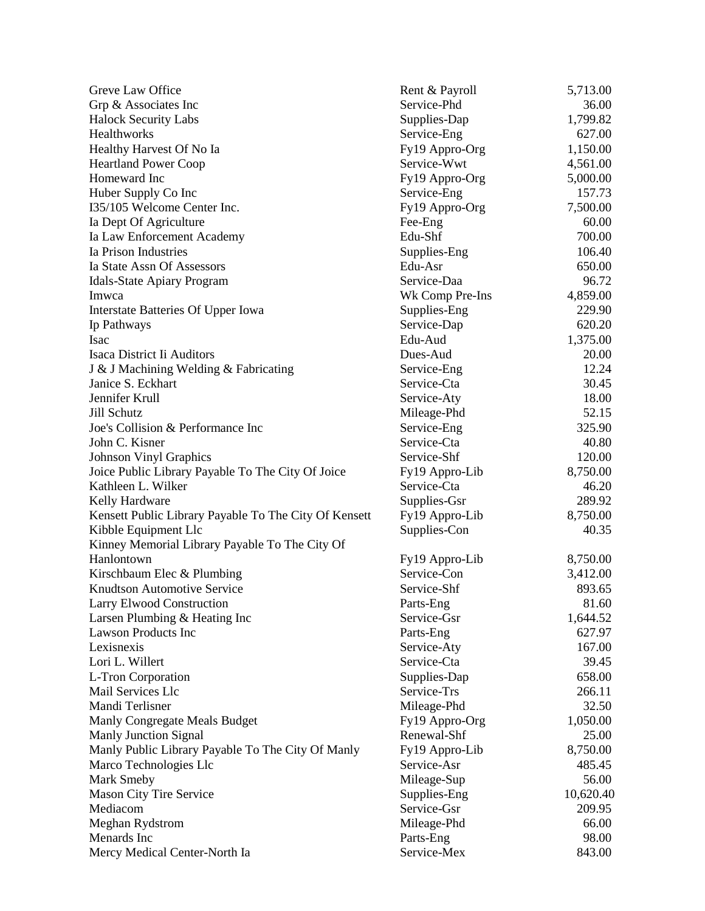| Greve Law Office                                      | Rent & Payroll                | 5,713.00          |
|-------------------------------------------------------|-------------------------------|-------------------|
| Grp & Associates Inc                                  | Service-Phd                   | 36.00             |
| <b>Halock Security Labs</b>                           | Supplies-Dap                  | 1,799.82          |
| Healthworks                                           | Service-Eng                   | 627.00            |
| Healthy Harvest Of No Ia                              | Fy19 Appro-Org                | 1,150.00          |
| <b>Heartland Power Coop</b>                           | Service-Wwt                   | 4,561.00          |
| Homeward Inc                                          | Fy19 Appro-Org                | 5,000.00          |
| Huber Supply Co Inc                                   | Service-Eng                   | 157.73            |
| I35/105 Welcome Center Inc.                           | Fy19 Appro-Org                | 7,500.00          |
| Ia Dept Of Agriculture                                | Fee-Eng                       | 60.00             |
| Ia Law Enforcement Academy                            | Edu-Shf                       | 700.00            |
| Ia Prison Industries                                  | Supplies-Eng                  | 106.40            |
| Ia State Assn Of Assessors                            | Edu-Asr                       | 650.00            |
| <b>Idals-State Apiary Program</b>                     | Service-Daa                   | 96.72             |
| Imwca                                                 | Wk Comp Pre-Ins               | 4,859.00          |
| Interstate Batteries Of Upper Iowa                    | Supplies-Eng                  | 229.90            |
| Ip Pathways                                           | Service-Dap                   | 620.20            |
| Isac                                                  | Edu-Aud                       | 1,375.00          |
| Isaca District Ii Auditors                            | Dues-Aud                      | 20.00             |
| J & J Machining Welding & Fabricating                 | Service-Eng                   | 12.24             |
| Janice S. Eckhart                                     | Service-Cta                   | 30.45             |
| Jennifer Krull                                        | Service-Aty                   | 18.00             |
| Jill Schutz                                           | Mileage-Phd                   | 52.15             |
| Joe's Collision & Performance Inc                     | Service-Eng                   | 325.90            |
| John C. Kisner                                        | Service-Cta                   | 40.80             |
| <b>Johnson Vinyl Graphics</b>                         | Service-Shf                   | 120.00            |
| Joice Public Library Payable To The City Of Joice     |                               | 8,750.00          |
| Kathleen L. Wilker                                    | Fy19 Appro-Lib<br>Service-Cta | 46.20             |
|                                                       | Supplies-Gsr                  | 289.92            |
| Kelly Hardware                                        |                               |                   |
| Kensett Public Library Payable To The City Of Kensett | Fy19 Appro-Lib                | 8,750.00<br>40.35 |
| Kibble Equipment Llc                                  | Supplies-Con                  |                   |
| Kinney Memorial Library Payable To The City Of        |                               | 8,750.00          |
| Hanlontown                                            | Fy19 Appro-Lib                |                   |
| Kirschbaum Elec & Plumbing                            | Service-Con                   | 3,412.00          |
| <b>Knudtson Automotive Service</b>                    | Service-Shf                   | 893.65            |
| <b>Larry Elwood Construction</b>                      | Parts-Eng                     | 81.60             |
| Larsen Plumbing & Heating Inc                         | Service-Gsr                   | 1,644.52          |
| <b>Lawson Products Inc</b>                            | Parts-Eng                     | 627.97            |
| Lexisnexis                                            | Service-Aty                   | 167.00            |
| Lori L. Willert                                       | Service-Cta                   | 39.45             |
| L-Tron Corporation                                    | Supplies-Dap                  | 658.00            |
| <b>Mail Services Llc</b>                              | Service-Trs                   | 266.11            |
| Mandi Terlisner                                       | Mileage-Phd                   | 32.50             |
| Manly Congregate Meals Budget                         | Fy19 Appro-Org                | 1,050.00          |
| <b>Manly Junction Signal</b>                          | Renewal-Shf                   | 25.00             |
| Manly Public Library Payable To The City Of Manly     | Fy19 Appro-Lib                | 8,750.00          |
| Marco Technologies Llc                                | Service-Asr                   | 485.45            |
| Mark Smeby                                            | Mileage-Sup                   | 56.00             |
| <b>Mason City Tire Service</b>                        | Supplies-Eng                  | 10,620.40         |
| Mediacom                                              | Service-Gsr                   | 209.95            |
| Meghan Rydstrom                                       | Mileage-Phd                   | 66.00             |
| Menards Inc                                           | Parts-Eng                     | 98.00             |
| Mercy Medical Center-North Ia                         | Service-Mex                   | 843.00            |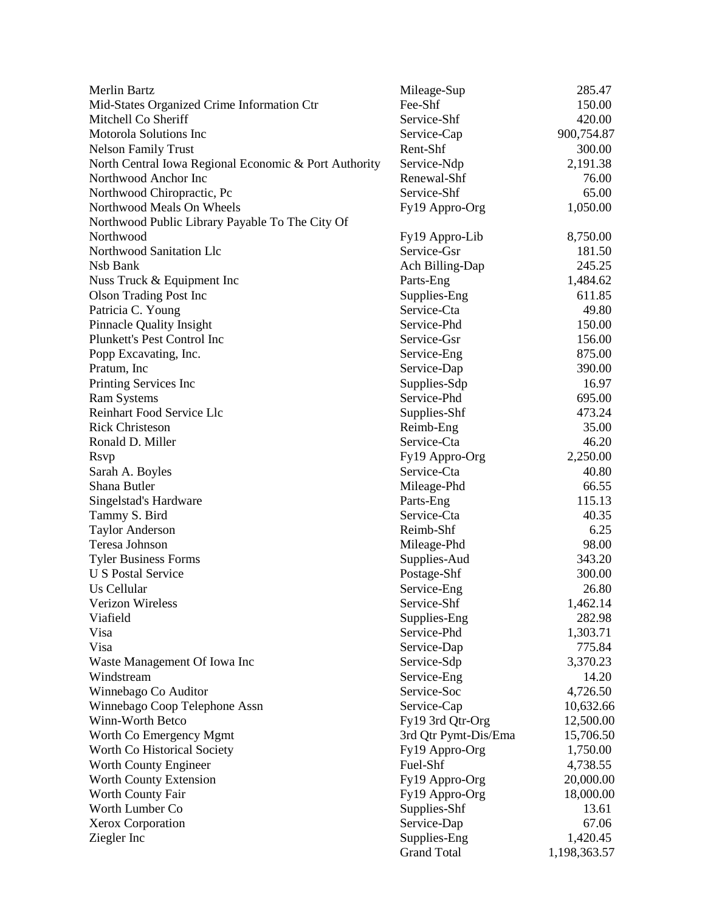| Merlin Bartz                                          | Mileage-Sup          | 285.47       |
|-------------------------------------------------------|----------------------|--------------|
| Mid-States Organized Crime Information Ctr            | Fee-Shf              | 150.00       |
| Mitchell Co Sheriff                                   | Service-Shf          | 420.00       |
| Motorola Solutions Inc                                | Service-Cap          | 900,754.87   |
| <b>Nelson Family Trust</b>                            | Rent-Shf             | 300.00       |
| North Central Iowa Regional Economic & Port Authority | Service-Ndp          | 2,191.38     |
| Northwood Anchor Inc                                  | Renewal-Shf          | 76.00        |
| Northwood Chiropractic, Pc                            | Service-Shf          | 65.00        |
| Northwood Meals On Wheels                             | Fy19 Appro-Org       | 1,050.00     |
| Northwood Public Library Payable To The City Of       |                      |              |
| Northwood                                             | Fy19 Appro-Lib       | 8,750.00     |
| Northwood Sanitation Llc                              | Service-Gsr          | 181.50       |
| Nsb Bank                                              | Ach Billing-Dap      | 245.25       |
| Nuss Truck & Equipment Inc                            | Parts-Eng            | 1,484.62     |
| <b>Olson Trading Post Inc</b>                         | Supplies-Eng         | 611.85       |
| Patricia C. Young                                     | Service-Cta          | 49.80        |
| Pinnacle Quality Insight                              | Service-Phd          | 150.00       |
| Plunkett's Pest Control Inc                           | Service-Gsr          | 156.00       |
| Popp Excavating, Inc.                                 | Service-Eng          | 875.00       |
| Pratum, Inc.                                          | Service-Dap          | 390.00       |
| Printing Services Inc                                 | Supplies-Sdp         | 16.97        |
| <b>Ram Systems</b>                                    | Service-Phd          | 695.00       |
| Reinhart Food Service Llc                             | Supplies-Shf         | 473.24       |
| <b>Rick Christeson</b>                                | Reimb-Eng            | 35.00        |
| Ronald D. Miller                                      | Service-Cta          | 46.20        |
| <b>R</b> svp                                          | Fy19 Appro-Org       | 2,250.00     |
| Sarah A. Boyles                                       | Service-Cta          | 40.80        |
| Shana Butler                                          | Mileage-Phd          | 66.55        |
| Singelstad's Hardware                                 | Parts-Eng            | 115.13       |
| Tammy S. Bird                                         | Service-Cta          | 40.35        |
| <b>Taylor Anderson</b>                                | Reimb-Shf            | 6.25         |
| Teresa Johnson                                        | Mileage-Phd          | 98.00        |
| <b>Tyler Business Forms</b>                           | Supplies-Aud         | 343.20       |
| <b>U S Postal Service</b>                             | Postage-Shf          | 300.00       |
| Us Cellular                                           | Service-Eng          | 26.80        |
| Verizon Wireless                                      | Service-Shf          | 1,462.14     |
| Viafield                                              | Supplies-Eng         | 282.98       |
| Visa                                                  | Service-Phd          | 1,303.71     |
| Visa                                                  | Service-Dap          | 775.84       |
| Waste Management Of Iowa Inc                          | Service-Sdp          | 3,370.23     |
| Windstream                                            | Service-Eng          | 14.20        |
| Winnebago Co Auditor                                  | Service-Soc          | 4,726.50     |
| Winnebago Coop Telephone Assn                         | Service-Cap          | 10,632.66    |
| Winn-Worth Betco                                      | Fy19 3rd Qtr-Org     | 12,500.00    |
| Worth Co Emergency Mgmt                               | 3rd Qtr Pymt-Dis/Ema | 15,706.50    |
| Worth Co Historical Society                           | Fy19 Appro-Org       | 1,750.00     |
| Worth County Engineer                                 | Fuel-Shf             | 4,738.55     |
| Worth County Extension                                | Fy19 Appro-Org       | 20,000.00    |
| Worth County Fair                                     | Fy19 Appro-Org       | 18,000.00    |
| Worth Lumber Co                                       | Supplies-Shf         | 13.61        |
| Xerox Corporation                                     | Service-Dap          | 67.06        |
| Ziegler Inc                                           | Supplies-Eng         | 1,420.45     |
|                                                       | <b>Grand Total</b>   | 1,198,363.57 |
|                                                       |                      |              |